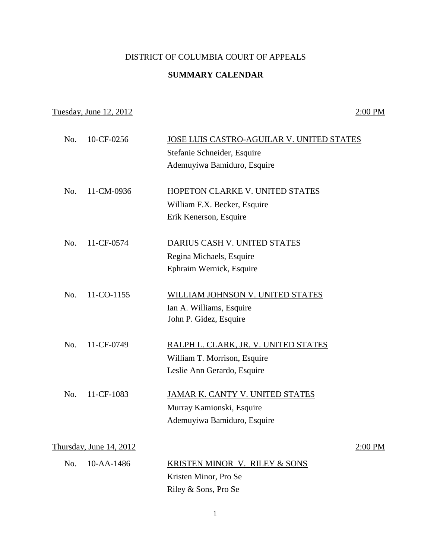## DISTRICT OF COLUMBIA COURT OF APPEALS

## **SUMMARY CALENDAR**

## Tuesday, June 12, 2012 2:00 PM

| No. | 10-CF-0256              | JOSE LUIS CASTRO-AGUILAR V. UNITED STATES |         |
|-----|-------------------------|-------------------------------------------|---------|
|     |                         | Stefanie Schneider, Esquire               |         |
|     |                         | Ademuyiwa Bamiduro, Esquire               |         |
| No. | 11-CM-0936              | HOPETON CLARKE V. UNITED STATES           |         |
|     |                         | William F.X. Becker, Esquire              |         |
|     |                         | Erik Kenerson, Esquire                    |         |
| No. | 11-CF-0574              | DARIUS CASH V. UNITED STATES              |         |
|     |                         | Regina Michaels, Esquire                  |         |
|     |                         | Ephraim Wernick, Esquire                  |         |
| No. | 11-CO-1155              | WILLIAM JOHNSON V. UNITED STATES          |         |
|     |                         | Ian A. Williams, Esquire                  |         |
|     |                         | John P. Gidez, Esquire                    |         |
| No. | 11-CF-0749              | RALPH L. CLARK, JR. V. UNITED STATES      |         |
|     |                         | William T. Morrison, Esquire              |         |
|     |                         | Leslie Ann Gerardo, Esquire               |         |
| No. | 11-CF-1083              | JAMAR K. CANTY V. UNITED STATES           |         |
|     |                         | Murray Kamionski, Esquire                 |         |
|     |                         | Ademuyiwa Bamiduro, Esquire               |         |
|     | Thursday, June 14, 2012 |                                           | 2:00 PM |
| No. | 10-AA-1486              | KRISTEN MINOR V. RILEY & SONS             |         |
|     |                         | Kristen Minor, Pro Se                     |         |
|     |                         | Riley & Sons, Pro Se                      |         |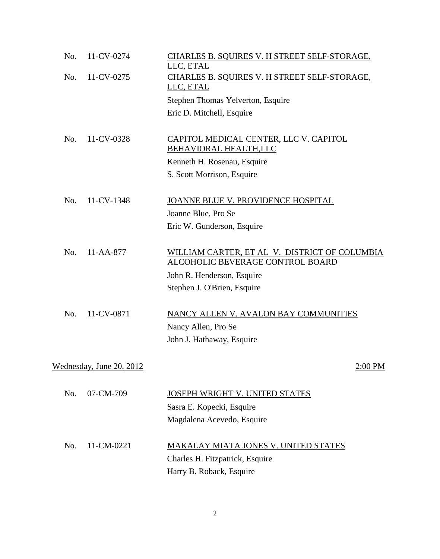| No. | 11-CV-0274               | CHARLES B. SQUIRES V. H STREET SELF-STORAGE,<br>LLC, ETAL |  |
|-----|--------------------------|-----------------------------------------------------------|--|
| No. | 11-CV-0275               | CHARLES B. SQUIRES V. H STREET SELF-STORAGE,              |  |
|     |                          | LLC, ETAL                                                 |  |
|     |                          | Stephen Thomas Yelverton, Esquire                         |  |
|     |                          | Eric D. Mitchell, Esquire                                 |  |
| No. | 11-CV-0328               | <u>CAPITOL MEDICAL CENTER, LLC V. CAPITOL</u>             |  |
|     |                          | <b>BEHAVIORAL HEALTH,LLC</b>                              |  |
|     |                          | Kenneth H. Rosenau, Esquire                               |  |
|     |                          | S. Scott Morrison, Esquire                                |  |
|     |                          |                                                           |  |
| No. | 11-CV-1348               | JOANNE BLUE V. PROVIDENCE HOSPITAL                        |  |
|     |                          | Joanne Blue, Pro Se                                       |  |
|     |                          | Eric W. Gunderson, Esquire                                |  |
| No. | 11-AA-877                | WILLIAM CARTER, ET AL V. DISTRICT OF COLUMBIA             |  |
|     |                          | ALCOHOLIC BEVERAGE CONTROL BOARD                          |  |
|     |                          | John R. Henderson, Esquire                                |  |
|     |                          | Stephen J. O'Brien, Esquire                               |  |
| No. | 11-CV-0871               | NANCY ALLEN V. AVALON BAY COMMUNITIES                     |  |
|     |                          | Nancy Allen, Pro Se                                       |  |
|     |                          | John J. Hathaway, Esquire                                 |  |
|     | Wednesday, June 20, 2012 | 2:00 PM                                                   |  |
|     |                          |                                                           |  |
| No. | 07-CM-709                | <b>JOSEPH WRIGHT V. UNITED STATES</b>                     |  |
|     |                          | Sasra E. Kopecki, Esquire                                 |  |
|     |                          | Magdalena Acevedo, Esquire                                |  |
| No. | 11-CM-0221               | MAKALAY MIATA JONES V. UNITED STATES                      |  |
|     |                          | Charles H. Fitzpatrick, Esquire                           |  |
|     |                          | Harry B. Roback, Esquire                                  |  |
|     |                          |                                                           |  |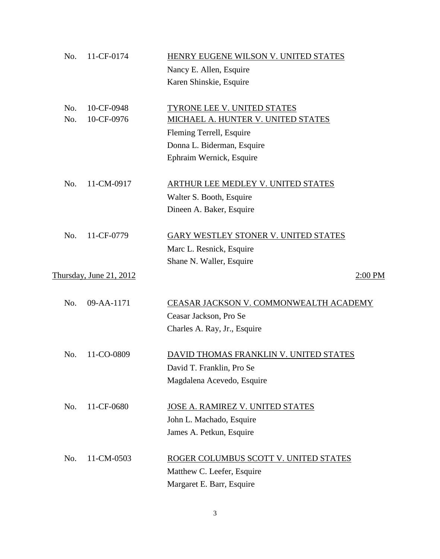| No. | 11-CF-0174              | HENRY EUGENE WILSON V. UNITED STATES      |
|-----|-------------------------|-------------------------------------------|
|     |                         | Nancy E. Allen, Esquire                   |
|     |                         | Karen Shinskie, Esquire                   |
|     |                         |                                           |
| No. | 10-CF-0948              | TYRONE LEE V. UNITED STATES               |
| No. | 10-CF-0976              | MICHAEL A. HUNTER V. UNITED STATES        |
|     |                         | Fleming Terrell, Esquire                  |
|     |                         | Donna L. Biderman, Esquire                |
|     |                         | Ephraim Wernick, Esquire                  |
|     |                         |                                           |
| No. | 11-CM-0917              | <b>ARTHUR LEE MEDLEY V. UNITED STATES</b> |
|     |                         | Walter S. Booth, Esquire                  |
|     |                         | Dineen A. Baker, Esquire                  |
|     |                         |                                           |
| No. | 11-CF-0779              | GARY WESTLEY STONER V. UNITED STATES      |
|     |                         | Marc L. Resnick, Esquire                  |
|     |                         | Shane N. Waller, Esquire                  |
|     | Thursday, June 21, 2012 | 2:00 PM                                   |
|     |                         |                                           |
| No. | 09-AA-1171              | CEASAR JACKSON V. COMMONWEALTH ACADEMY    |
|     |                         | Ceasar Jackson, Pro Se                    |
|     |                         | Charles A. Ray, Jr., Esquire              |
|     |                         |                                           |
| No. | 11-CO-0809              | DAVID THOMAS FRANKLIN V. UNITED STATES    |
|     |                         | David T. Franklin, Pro Se                 |
|     |                         | Magdalena Acevedo, Esquire                |
|     |                         |                                           |
| No. | 11-CF-0680              | JOSE A. RAMIREZ V. UNITED STATES          |
|     |                         | John L. Machado, Esquire                  |
|     |                         | James A. Petkun, Esquire                  |
|     |                         |                                           |
| No. | 11-CM-0503              | ROGER COLUMBUS SCOTT V. UNITED STATES     |
|     |                         | Matthew C. Leefer, Esquire                |
|     |                         | Margaret E. Barr, Esquire                 |

3